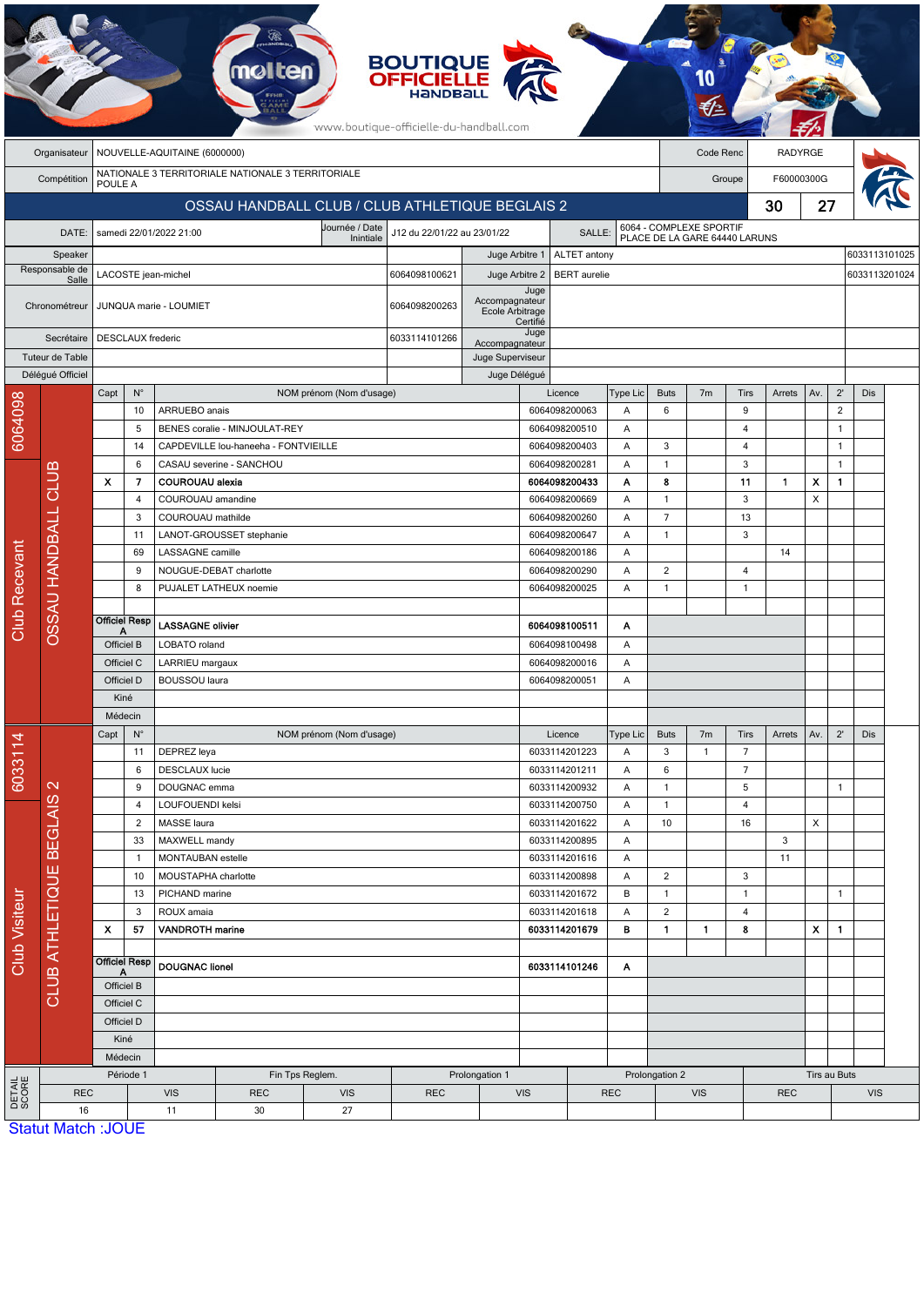|                        |                                     |                           |                        |                                        |                                                   |                               | <b>BOUTIQUE</b><br><b>OFFICIELLE</b><br>HANDBALL<br>www.boutique-officielle-du-handball.com |                                   |                  |                                |            |                                |                                                          |                   |                |              |                |               |  |
|------------------------|-------------------------------------|---------------------------|------------------------|----------------------------------------|---------------------------------------------------|-------------------------------|---------------------------------------------------------------------------------------------|-----------------------------------|------------------|--------------------------------|------------|--------------------------------|----------------------------------------------------------|-------------------|----------------|--------------|----------------|---------------|--|
|                        | Organisateur                        |                           |                        | NOUVELLE-AQUITAINE (6000000)           |                                                   |                               |                                                                                             |                                   |                  |                                |            |                                | Code Renc                                                |                   | <b>RADYRGE</b> |              |                |               |  |
|                        | Compétition                         | POULE A                   |                        |                                        | NATIONALE 3 TERRITORIALE NATIONALE 3 TERRITORIALE |                               |                                                                                             |                                   |                  |                                |            |                                |                                                          | Groupe            | F60000300G     |              |                |               |  |
|                        |                                     |                           |                        |                                        | OSSAU HANDBALL CLUB / CLUB ATHLETIQUE BEGLAIS 2   |                               |                                                                                             |                                   |                  |                                |            |                                |                                                          |                   | 30             | 27           |                |               |  |
|                        | DATE:                               |                           |                        | samedi 22/01/2022 21:00                |                                                   | Journée / Date                | J12 du 22/01/22 au 23/01/22                                                                 |                                   |                  | SALLE:                         |            |                                | 6064 - COMPLEXE SPORTIF<br>PLACE DE LA GARE 64440 LARUNS |                   |                |              |                |               |  |
|                        | Speaker                             |                           |                        |                                        |                                                   | Inintiale                     |                                                                                             | Juge Arbitre 1                    |                  | ALTET antony                   |            |                                |                                                          |                   |                |              |                | 6033113101025 |  |
|                        | Responsable de                      |                           |                        | LACOSTE jean-michel                    |                                                   |                               | 6064098100621                                                                               | Juge Arbitre 2                    |                  | <b>BERT</b> aurelie            |            |                                |                                                          |                   |                |              |                | 6033113201024 |  |
|                        | Salle<br>Chronométreur              |                           |                        | JUNQUA marie - LOUMIET                 |                                                   |                               | 6064098200263                                                                               | Accompagnateur<br>Ecole Arbitrage | Juge             |                                |            |                                |                                                          |                   |                |              |                |               |  |
|                        | Secrétaire                          |                           | DESCLAUX frederic      |                                        |                                                   |                               | 6033114101266                                                                               | Accompagnateur                    | Certifié<br>Juge |                                |            |                                |                                                          |                   |                |              |                |               |  |
|                        | Tuteur de Table<br>Délégué Officiel |                           |                        |                                        |                                                   |                               |                                                                                             | Juge Superviseur<br>Juge Délégué  |                  |                                |            |                                |                                                          |                   |                |              |                |               |  |
|                        |                                     | Capt                      | $N^{\circ}$            |                                        |                                                   | NOM prénom (Nom d'usage)      |                                                                                             |                                   |                  | Licence                        | Type Lic   | <b>Buts</b>                    | 7 <sub>m</sub>                                           | Tirs              | Arrets         | Av.          | $2^{\prime}$   | Dis           |  |
| 6064098                |                                     |                           | 10                     | ARRUEBO anais                          |                                                   |                               |                                                                                             |                                   |                  | 6064098200063                  | Α          | 6                              |                                                          | 9                 |                |              | $\overline{2}$ |               |  |
|                        |                                     |                           | 5                      |                                        | BENES coralie - MINJOULAT-REY                     |                               |                                                                                             |                                   |                  | 6064098200510                  | Α          |                                |                                                          | 4                 |                |              | $\mathbf{1}$   |               |  |
|                        |                                     |                           | 14                     |                                        | CAPDEVILLE lou-haneeha - FONTVIEILLE              |                               |                                                                                             |                                   |                  | 6064098200403                  | Α          | $\sqrt{3}$                     |                                                          | 4                 |                |              | $\mathbf{1}$   |               |  |
|                        |                                     |                           | 6                      |                                        | CASAU severine - SANCHOU                          |                               |                                                                                             |                                   |                  | 6064098200281                  | Α          | $\mathbf{1}$                   |                                                          | 3                 |                |              | $\mathbf{1}$   |               |  |
|                        |                                     | $\boldsymbol{\mathsf{x}}$ | 7                      | <b>COUROUAU alexia</b>                 |                                                   |                               |                                                                                             |                                   |                  | 6064098200433                  | Α          | 8                              |                                                          | 11<br>3           | 1              | x<br>X       | $\mathbf{1}$   |               |  |
|                        |                                     |                           | 4<br>3                 | COUROUAU amandine<br>COUROUAU mathilde |                                                   |                               |                                                                                             |                                   |                  | 6064098200669<br>6064098200260 | Α<br>Α     | $\mathbf{1}$<br>$\overline{7}$ |                                                          | 13                |                |              |                |               |  |
|                        |                                     |                           | 11                     |                                        | LANOT-GROUSSET stephanie                          |                               |                                                                                             |                                   |                  | 6064098200647                  | Α          | $\mathbf{1}$                   |                                                          | 3                 |                |              |                |               |  |
|                        |                                     |                           | 69                     | LASSAGNE camille                       |                                                   |                               |                                                                                             |                                   |                  | 6064098200186                  | Α          |                                |                                                          |                   | 14             |              |                |               |  |
|                        |                                     |                           | 9                      |                                        | NOUGUE-DEBAT charlotte                            |                               |                                                                                             |                                   |                  | 6064098200290                  | Α          | $\overline{2}$                 |                                                          | 4                 |                |              |                |               |  |
| <b>Club Recevant</b>   | OSSAU HANDBALL CLUB                 |                           | 8                      |                                        | PUJALET LATHEUX noemie                            |                               |                                                                                             |                                   |                  | 6064098200025                  | A          | $\mathbf{1}$                   |                                                          | $\mathbf{1}$      |                |              |                |               |  |
|                        |                                     |                           |                        |                                        |                                                   |                               |                                                                                             |                                   |                  |                                |            |                                |                                                          |                   |                |              |                |               |  |
|                        |                                     | Α                         | <b>Officiel Resp</b>   | <b>LASSAGNE olivier</b>                |                                                   |                               |                                                                                             |                                   |                  | 6064098100511                  | Α          |                                |                                                          |                   |                |              |                |               |  |
|                        |                                     |                           | Officiel B             | LOBATO roland                          |                                                   |                               |                                                                                             |                                   |                  | 6064098100498                  | Α          |                                |                                                          |                   |                |              |                |               |  |
|                        |                                     |                           | Officiel C             | LARRIEU margaux                        |                                                   |                               |                                                                                             |                                   |                  | 6064098200016                  | Α          |                                |                                                          |                   |                |              |                |               |  |
|                        |                                     |                           | Officiel D             | <b>BOUSSOU</b> laura                   |                                                   |                               |                                                                                             |                                   |                  | 6064098200051                  | Α          |                                |                                                          |                   |                |              |                |               |  |
|                        |                                     |                           | Kiné                   |                                        |                                                   |                               |                                                                                             |                                   |                  |                                |            |                                |                                                          |                   |                |              |                |               |  |
|                        |                                     | Capt                      | Médecin<br>$N^{\circ}$ |                                        |                                                   | NOM prénom (Nom d'usage)      |                                                                                             |                                   |                  | Licence                        | Type Lic   | <b>Buts</b>                    | 7m                                                       | Tirs              | Arrets         | Av.          | $2^{\prime}$   | Dis           |  |
| 6033114                |                                     |                           | 11                     | DEPREZ leya                            |                                                   |                               |                                                                                             |                                   |                  | 6033114201223                  | Α          | 3                              | $\mathbf{1}$                                             | $\overline{7}$    |                |              |                |               |  |
|                        |                                     |                           | 6                      | <b>DESCLAUX</b> lucie                  |                                                   |                               |                                                                                             |                                   |                  | 6033114201211                  | Α          | 6                              |                                                          | $\overline{7}$    |                |              |                |               |  |
|                        | $\mathbb{N}$                        |                           | 9                      | DOUGNAC emma                           |                                                   |                               |                                                                                             |                                   |                  | 6033114200932                  | Α          | $\mathbf{1}$                   |                                                          | 5                 |                |              | $\mathbf{1}$   |               |  |
|                        |                                     |                           | $\overline{4}$         | LOUFOUENDI kelsi                       |                                                   |                               |                                                                                             |                                   |                  | 6033114200750                  | A          | $\mathbf{1}$                   |                                                          | 4                 |                |              |                |               |  |
|                        |                                     |                           | $\overline{2}$         | MASSE laura                            |                                                   |                               |                                                                                             |                                   |                  | 6033114201622                  | A          | 10                             |                                                          | 16                |                | X            |                |               |  |
|                        |                                     |                           | 33                     | MAXWELL mandy                          |                                                   |                               |                                                                                             |                                   |                  | 6033114200895                  | A          |                                |                                                          |                   | 3              |              |                |               |  |
|                        |                                     |                           | $\mathbf{1}$           | MONTAUBAN estelle                      |                                                   |                               |                                                                                             |                                   |                  | 6033114201616                  | Α          |                                |                                                          |                   | 11             |              |                |               |  |
|                        |                                     |                           | 10                     | MOUSTAPHA charlotte                    |                                                   |                               |                                                                                             |                                   |                  | 6033114200898                  | A          | $\overline{2}$                 |                                                          | 3                 |                |              |                |               |  |
|                        |                                     |                           | 13<br>3                | PICHAND marine<br>ROUX amaia           |                                                   |                               |                                                                                             |                                   |                  | 6033114201672<br>6033114201618 | В<br>Α     | $\mathbf{1}$<br>$\overline{2}$ |                                                          | $\mathbf{1}$<br>4 |                |              | $\mathbf{1}$   |               |  |
| Club Visiteur          | CLUB ATHLETIQUE BEGLAIS             | $\boldsymbol{\mathsf{x}}$ | 57                     | <b>VANDROTH</b> marine                 |                                                   |                               |                                                                                             |                                   |                  | 6033114201679                  | в          | $\blacksquare$                 | 1.                                                       | 8                 |                | X            | $\mathbf{1}$   |               |  |
|                        |                                     |                           |                        |                                        |                                                   |                               |                                                                                             |                                   |                  |                                |            |                                |                                                          |                   |                |              |                |               |  |
|                        |                                     | А                         | <b>Officiel Resp</b>   | <b>DOUGNAC lionel</b>                  |                                                   |                               |                                                                                             |                                   |                  | 6033114101246                  | A          |                                |                                                          |                   |                |              |                |               |  |
|                        |                                     |                           | Officiel B             |                                        |                                                   |                               |                                                                                             |                                   |                  |                                |            |                                |                                                          |                   |                |              |                |               |  |
|                        |                                     |                           | Officiel C             |                                        |                                                   |                               |                                                                                             |                                   |                  |                                |            |                                |                                                          |                   |                |              |                |               |  |
|                        |                                     |                           | Officiel D             |                                        |                                                   |                               |                                                                                             |                                   |                  |                                |            |                                |                                                          |                   |                |              |                |               |  |
|                        |                                     |                           | Kiné                   |                                        |                                                   |                               |                                                                                             |                                   |                  |                                |            |                                |                                                          |                   |                |              |                |               |  |
|                        |                                     |                           | Médecin                |                                        |                                                   |                               |                                                                                             |                                   |                  |                                |            |                                |                                                          |                   |                |              |                |               |  |
| <b>DETAIL</b><br>SCORE | <b>REC</b>                          |                           | Période 1              | <b>VIS</b>                             | <b>REC</b>                                        | Fin Tps Reglem.<br><b>VIS</b> | <b>REC</b>                                                                                  | Prolongation 1                    | <b>VIS</b>       |                                | <b>REC</b> | Prolongation 2                 | <b>VIS</b>                                               |                   | <b>REC</b>     | Tirs au Buts |                | <b>VIS</b>    |  |
|                        | 16                                  |                           |                        | 11                                     | 30                                                | 27                            |                                                                                             |                                   |                  |                                |            |                                |                                                          |                   |                |              |                |               |  |
|                        | <b>Statut Match: JOUE</b>           |                           |                        |                                        |                                                   |                               |                                                                                             |                                   |                  |                                |            |                                |                                                          |                   |                |              |                |               |  |

Statut Match :JOUE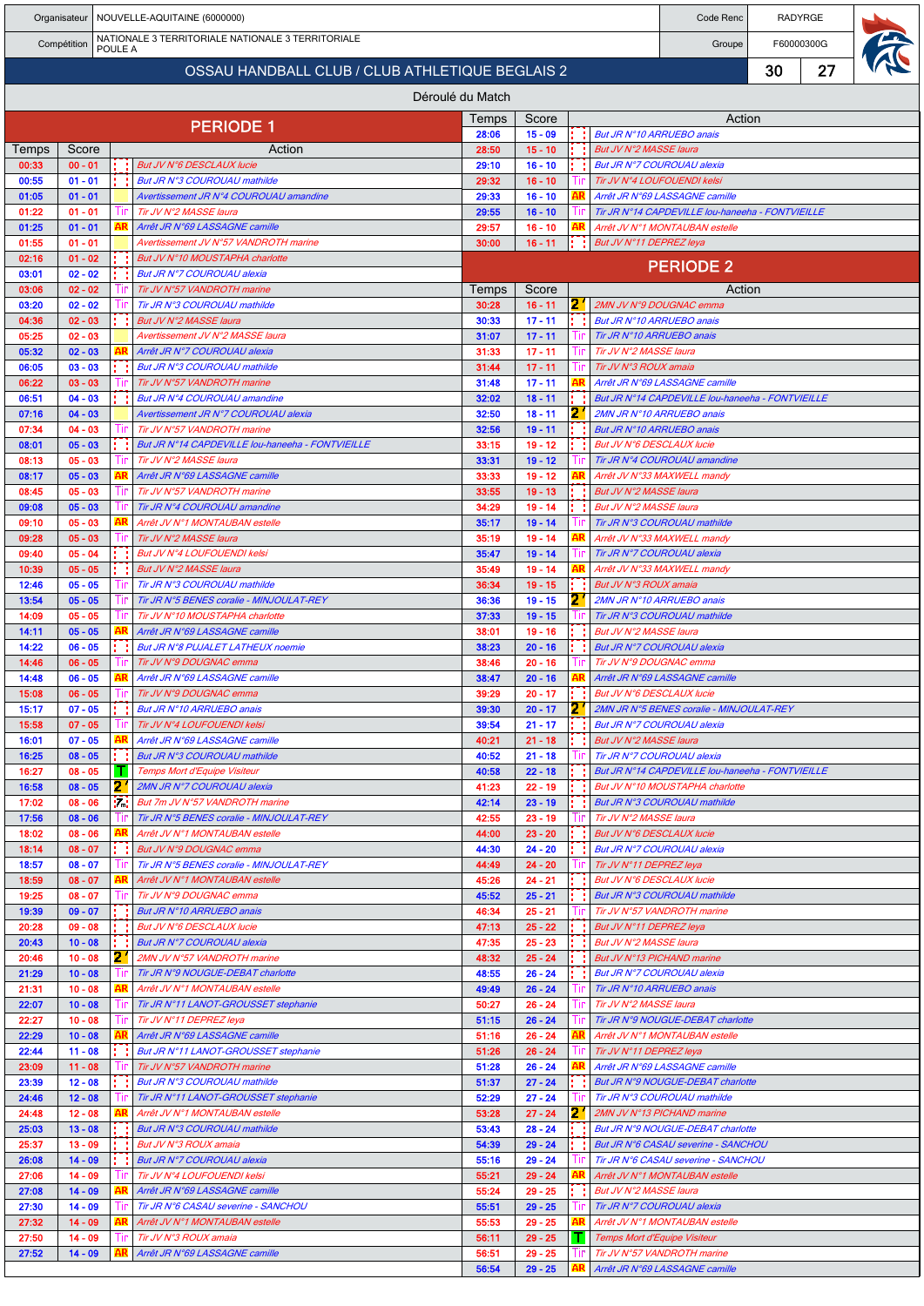|                |                        |         |           | Organisateur   NOUVELLE-AQUITAINE (6000000)                                     |                  |                        |            | Code Renc                                                                          |    | RADYRGE    |  |
|----------------|------------------------|---------|-----------|---------------------------------------------------------------------------------|------------------|------------------------|------------|------------------------------------------------------------------------------------|----|------------|--|
|                | Compétition            | POULE A |           | NATIONALE 3 TERRITORIALE NATIONALE 3 TERRITORIALE                               |                  |                        |            | Groupe                                                                             |    | F60000300G |  |
|                |                        |         |           | OSSAU HANDBALL CLUB / CLUB ATHLETIQUE BEGLAIS 2                                 |                  |                        |            |                                                                                    | 30 | 27         |  |
|                |                        |         |           |                                                                                 | Déroulé du Match |                        |            |                                                                                    |    |            |  |
|                |                        |         |           | <b>PERIODE 1</b>                                                                | Temps            | Score                  |            | Action                                                                             |    |            |  |
| Temps          | Score                  |         |           | Action                                                                          | 28:06<br>28:50   | $15 - 09$<br>$15 - 10$ |            | But JR N°10 ARRUEBO anais<br>But JV N°2 MASSE laura                                |    |            |  |
| 00:33          | $00 - 01$              |         |           | But JV N°6 DESCLAUX lucie                                                       | 29:10            | $16 - 10$              |            | But JR N°7 COUROUAU alexia                                                         |    |            |  |
| 00:55          | $01 - 01$              |         |           | But JR N°3 COUROUAU mathilde                                                    | 29:32            | $16 - 10$              |            | Tir JV N°4 LOUFOUENDI kelsi                                                        |    |            |  |
| 01:05<br>01:22 | $01 - 01$<br>$01 - 01$ |         |           | Avertissement JR N°4 COUROUAU amandine<br>Tir JV N°2 MASSE laura                | 29:33<br>29:55   | $16 - 10$<br>$16 - 10$ |            | Arrêt JR N°69 LASSAGNE camille<br>Tir JR N°14 CAPDEVILLE lou-haneeha - FONTVIEILLE |    |            |  |
| 01:25          | $01 - 01$              |         |           | Arrêt JR N°69 LASSAGNE camille                                                  | 29:57            | $16 - 10$              |            | Arrêt JV N°1 MONTAUBAN estelle                                                     |    |            |  |
| 01:55<br>02:16 | $01 - 01$<br>$01 - 02$ |         |           | Avertissement JV N°57 VANDROTH marine<br>But JV N°10 MOUSTAPHA charlotte        | 30:00            | $16 - 11$              |            | But JV N°11 DEPREZ leya                                                            |    |            |  |
| 03:01          | $02 - 02$              |         |           | But JR N°7 COUROUAU alexia                                                      |                  |                        |            | <b>PERIODE 2</b>                                                                   |    |            |  |
| 03:06          | $02 - 02$              |         | - 111     | Tir JV N°57 VANDROTH marine                                                     | Temps            | Score                  |            | Action                                                                             |    |            |  |
| 03:20<br>04:36 | $02 - 02$<br>$02 - 03$ |         |           | Tir JR N°3 COUROUAU mathilde<br>But JV N°2 MASSE laura                          | 30:28<br>30:33   | $16 - 11$<br>$17 - 11$ | ÷.         | 2' 2MN JV N°9 DOUGNAC emma<br>But JR N°10 ARRUEBO anais                            |    |            |  |
| 05:25          | $02 - 03$              |         |           | Avertissement JV N°2 MASSE laura                                                | 31:07            | $17 - 11$              | ШP         | Tir JR N°10 ARRUEBO anais                                                          |    |            |  |
| 05:32          | $02 - 03$              |         |           | Arrêt JR N°7 COUROUAU alexia                                                    | 31:33            | $17 - 11$              | 1 In       | Tir JV N°2 MASSE laura                                                             |    |            |  |
| 06:05<br>06:22 | $03 - 03$<br>$03 - 03$ |         |           | But JR N°3 COUROUAU mathilde<br>Tir JV N°57 VANDROTH marine                     | 31:44<br>31:48   | $17 - 11$<br>$17 - 11$ | 1 In<br>AR | Tir JV N°3 ROUX amaia<br>Arrêt JR N°69 LASSAGNE camille                            |    |            |  |
| 06:51          | $04 - 03$              |         |           | But JR N°4 COUROUAU amandine                                                    | 32:02            | $18 - 11$              |            | But JR N°14 CAPDEVILLE lou-haneeha - FONTVIEILLE                                   |    |            |  |
| 07:16          | $04 - 03$              |         |           | Avertissement JR N°7 COUROUAU alexia                                            | 32:50            | $18 - 11$              | 2          | 2MN JR N°10 ARRUEBO anais                                                          |    |            |  |
| 07:34<br>08:01 | $04 - 03$<br>$05 - 03$ |         | -l ir     | Tir JV N°57 VANDROTH marine<br>But JR N°14 CAPDEVILLE lou-haneeha - FONTVIEILLE | 32:56<br>33:15   | $19 - 11$<br>$19 - 12$ |            | But JR N°10 ARRUEBO anais<br>But JV N°6 DESCLAUX lucie                             |    |            |  |
| 08:13          | $05 - 03$              |         |           | Tir JV N°2 MASSE laura                                                          | 33:31            | $19 - 12$              |            | Tir JR N°4 COUROUAU amandine                                                       |    |            |  |
| 08:17          | $05 - 03$              |         | Tır       | Arrêt JR N°69 LASSAGNE camille<br>Tir JV N°57 VANDROTH marine                   | 33:33            | $19 - 12$              | AR         | Arrêt JV N°33 MAXWELL mandy                                                        |    |            |  |
| 08:45<br>09:08 | $05 - 03$<br>$05 - 03$ |         |           | Tir JR N°4 COUROUAU amandine                                                    | 33:55<br>34:29   | $19 - 13$<br>$19 - 14$ |            | But JV N°2 MASSE laura<br>But JV N°2 MASSE laura                                   |    |            |  |
| 09:10          | $05 - 03$              |         |           | Arrêt JV N°1 MONTAUBAN estelle                                                  | 35:17            | $19 - 14$              | Ш          | Tir JR N°3 COUROUAU mathilde                                                       |    |            |  |
| 09:28          | $05 - 03$              |         | Ш         | Tir JV N°2 MASSE laura                                                          | 35:19            | $19 - 14$              |            | Arrêt JV N°33 MAXWELL mandy                                                        |    |            |  |
| 09:40<br>10:39 | $05 - 04$<br>$05 - 05$ |         |           | But JV N°4 LOUFOUENDI kelsi<br>But JV N°2 MASSE laura                           | 35:47<br>35:49   | $19 - 14$<br>$19 - 14$ |            | Tir JR N°7 COUROUAU alexia<br>Arrêt JV N°33 MAXWELL mandy                          |    |            |  |
| 12:46          | $05 - 05$              |         |           | Tir JR N°3 COUROUAU mathilde                                                    | 36:34            | $19 - 15$              |            | But JV N°3 ROUX amaia                                                              |    |            |  |
| 13:54          | $05 - 05$              |         |           | Tir JR N°5 BENES coralie - MINJOULAT-REY                                        | 36:36            | $19 - 15$              |            | 2MN JR N°10 ARRUEBO anais                                                          |    |            |  |
| 14:09<br>14:11 | $05 - 05$<br>$05 - 05$ |         | -l ir     | Tir JV N°10 MOUSTAPHA charlotte<br>Arrêt JR N°69 LASSAGNE camille               | 37:33<br>38:01   | $19 - 15$<br>$19 - 16$ |            | Tir JR N°3 COUROUAU mathilde<br>But JV N°2 MASSE laura                             |    |            |  |
| 14:22          | $06 - 05$              |         |           | But JR N°8 PUJALET LATHEUX noemie                                               | 38:23            | $20 - 16$              |            | But JR N°7 COUROUAU alexia                                                         |    |            |  |
| 14:46          | $06 - 05$              |         | -111      | Tir JV N°9 DOUGNAC emma                                                         | 38:46            | $20 - 16$              | Ш          | Tir JV N°9 DOUGNAC emma                                                            |    |            |  |
| 14:48<br>15:08 | $06 - 05$<br>$06 - 05$ |         | Ш         | Arrêt JR N°69 LASSAGNE camille<br>Tir JV N°9 DOUGNAC emma                       | 38:47<br>39:29   | $20 - 16$<br>$20 - 17$ |            | Arrêt JR N°69 LASSAGNE camille<br>But JV N°6 DESCLAUX lucie                        |    |            |  |
| 15:17          | $07 - 05$              |         |           | But JR N°10 ARRUEBO anais                                                       | 39:30            | $20 - 17$              | 2          | 2MN JR N°5 BENES coralie - MINJOULAT-REY                                           |    |            |  |
| 15:58          | $07 - 05$              |         |           | Tir JV N°4 LOUFOUENDI kelsi                                                     | 39:54            | $21 - 17$              |            | But JR N°7 COUROUAU alexia                                                         |    |            |  |
| 16:01<br>16:25 | $07 - 05$<br>$08 - 05$ |         |           | Arrêt JR N°69 LASSAGNE camille<br>But JR N°3 COUROUAU mathilde                  | 40:21<br>40:52   | $21 - 18$<br>$21 - 18$ | 1 In       | But JV N°2 MASSE laura<br>Tir JR N°7 COUROUAU alexia                               |    |            |  |
| 16:27          | $08 - 05$              |         | т         | <b>Temps Mort d'Equipe Visiteur</b>                                             | 40:58            | $22 - 18$              |            | But JR N°14 CAPDEVILLE lou-haneeha - FONTVIEILLE                                   |    |            |  |
| 16:58          | $08 - 05$              |         | 2.        | 2MN JR N°7 COUROUAU alexia                                                      | 41:23            | $22 - 19$              |            | But JV N°10 MOUSTAPHA charlotte                                                    |    |            |  |
| 17:02<br>17:56 | $08 - 06$<br>$08 - 06$ |         | in.       | But 7m JV N°57 VANDROTH marine<br>Tir JR N°5 BENES coralie - MINJOULAT-REY      | 42:14<br>42:55   | $23 - 19$<br>$23 - 19$ | ÷          | But JR N°3 COUROUAU mathilde<br>Tir JV N°2 MASSE laura                             |    |            |  |
| 18:02          | $08 - 06$              |         |           | Arrêt JV N°1 MONTAUBAN estelle                                                  | 44:00            | $23 - 20$              |            | But JV N°6 DESCLAUX lucie                                                          |    |            |  |
| 18:14          | $08 - 07$              |         |           | But JV N°9 DOUGNAC emma                                                         | 44:30            | $24 - 20$              |            | But JR N°7 COUROUAU alexia                                                         |    |            |  |
| 18:57<br>18:59 | $08 - 07$<br>$08 - 07$ |         | Tir<br>AR | Tir JR N°5 BENES coralie - MINJOULAT-REY<br>Arrêt JV N°1 MONTAUBAN estelle      | 44:49<br>45:26   | $24 - 20$<br>$24 - 21$ |            | Tir JV N°11 DEPREZ leya<br>But JV N°6 DESCLAUX lucie                               |    |            |  |
| 19:25          | $08 - 07$              |         | Tir       | Tir JV N°9 DOUGNAC emma                                                         | 45:52            | $25 - 21$              |            | But JR N°3 COUROUAU mathilde                                                       |    |            |  |
| 19:39          | $09 - 07$              |         |           | But JR N°10 ARRUEBO anais                                                       | 46:34            | $25 - 21$              |            | Tir JV N°57 VANDROTH marine                                                        |    |            |  |
| 20:28<br>20:43 | $09 - 08$<br>$10 - 08$ |         |           | But JV N°6 DESCLAUX lucie<br>But JR N°7 COUROUAU alexia                         | 47:13<br>47:35   | $25 - 22$<br>$25 - 23$ |            | But JV N°11 DEPREZ leya<br>But JV N°2 MASSE laura                                  |    |            |  |
| 20:46          | $10 - 08$              |         | 21        | 2MN JV N°57 VANDROTH marine                                                     | 48:32            | $25 - 24$              |            | But JV N°13 PICHAND marine                                                         |    |            |  |
| 21:29          | $10 - 08$              |         | -lin      | Tir JR N°9 NOUGUE-DEBAT charlotte                                               | 48:55            | $26 - 24$              |            | But JR N°7 COUROUAU alexia                                                         |    |            |  |
| 21:31<br>22:07 | $10 - 08$<br>$10 - 08$ |         | AR        | Arrêt JV N°1 MONTAUBAN estelle<br>Tir JR N°11 LANOT-GROUSSET stephanie          | 49:49<br>50:27   | $26 - 24$<br>$26 - 24$ | l ir<br>Ш  | Tir JR N°10 ARRUEBO anais<br>Tir JV N°2 MASSE laura                                |    |            |  |
| 22:27          | $10 - 08$              |         | Tir       | Tir JV N°11 DEPREZ leya                                                         | 51:15            | $26 - 24$              | Ш          | Tir JR N°9 NOUGUE-DEBAT charlotte                                                  |    |            |  |
| 22:29          | $10 - 08$              |         |           | Arrêt JR N°69 LASSAGNE camille                                                  | 51:16            | $26 - 24$              | AR         | Arrêt JV N°1 MONTAUBAN estelle                                                     |    |            |  |
| 22:44<br>23:09 | $11 - 08$<br>$11 - 08$ |         | -l ir     | But JR N°11 LANOT-GROUSSET stephanie<br>Tir JV N°57 VANDROTH marine             | 51:26<br>51:28   | $26 - 24$<br>$26 - 24$ |            | Tir JV N°11 DEPREZ leya<br>Arrêt JR N°69 LASSAGNE camille                          |    |            |  |
| 23:39          | $12 - 08$              |         |           | But JR N°3 COUROUAU mathilde                                                    | 51:37            | $27 - 24$              |            | But JR N°9 NOUGUE-DEBAT charlotte                                                  |    |            |  |
| 24:46          | $12 - 08$              |         |           | Tir JR N°11 LANOT-GROUSSET stephanie                                            | 52:29            | $27 - 24$              |            | Tir JR N°3 COUROUAU mathilde                                                       |    |            |  |
| 24:48<br>25:03 | $12 - 08$<br>$13 - 08$ |         | AR        | Arrêt JV N°1 MONTAUBAN estelle<br>But JR N°3 COUROUAU mathilde                  | 53:28<br>53:43   | $27 - 24$<br>$28 - 24$ | 2          | 2MN JV N°13 PICHAND marine<br>But JR N°9 NOUGUE-DEBAT charlotte                    |    |            |  |
| 25:37          | $13 - 09$              |         |           | But JV N°3 ROUX amaia                                                           | 54:39            | $29 - 24$              |            | But JR N°6 CASAU severine - SANCHOU                                                |    |            |  |
| 26:08          | $14 - 09$              |         |           | But JR N°7 COUROUAU alexia                                                      | 55:16            | $29 - 24$              | Ш          | Tir JR N°6 CASAU severine - SANCHOU                                                |    |            |  |
| 27:06<br>27:08 | $14 - 09$<br>$14 - 09$ |         | Tir       | Tir JV N°4 LOUFOUENDI kelsi<br>Arrêt JR N°69 LASSAGNE camille                   | 55:21<br>55:24   | $29 - 24$<br>$29 - 25$ |            | Arrêt JV N°1 MONTAUBAN estelle<br>But JV N°2 MASSE laura                           |    |            |  |
| 27:30          | $14 - 09$              |         | ШP        | Tir JR N°6 CASAU severine - SANCHOU                                             | 55:51            | $29 - 25$              | Ш          | Tir JR N°7 COUROUAU alexia                                                         |    |            |  |
| 27:32          | $14 - 09$              |         |           | Arrêt JV N°1 MONTAUBAN estelle                                                  | 55:53            | $29 - 25$              | AR         | Arrêt JV N°1 MONTAUBAN estelle                                                     |    |            |  |
| 27:50<br>27:52 | $14 - 09$<br>$14 - 09$ |         |           | Tir JV N°3 ROUX amaia<br>Arrêt JR N°69 LASSAGNE camille                         | 56:11<br>56:51   | $29 - 25$<br>$29 - 25$ | Шr         | Temps Mort d'Equipe Visiteur<br>Tir JV N°57 VANDROTH marine                        |    |            |  |
|                |                        |         |           |                                                                                 | 56:54            | $29 - 25$              | AR         | Arrêt JR N°69 LASSAGNE camille                                                     |    |            |  |